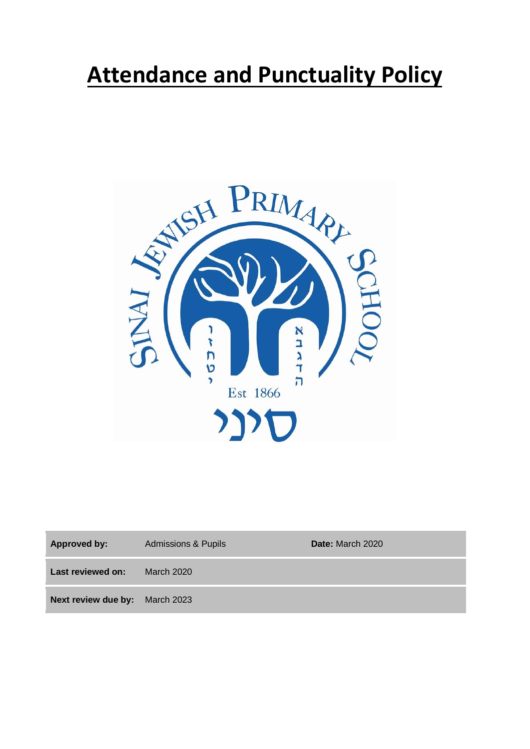# **Attendance and Punctuality Policy**



| <b>Approved by:</b>                   | <b>Admissions &amp; Pupils</b> | Date: March 2020 |
|---------------------------------------|--------------------------------|------------------|
| Last reviewed on:                     | March 2020                     |                  |
| <b>Next review due by:</b> March 2023 |                                |                  |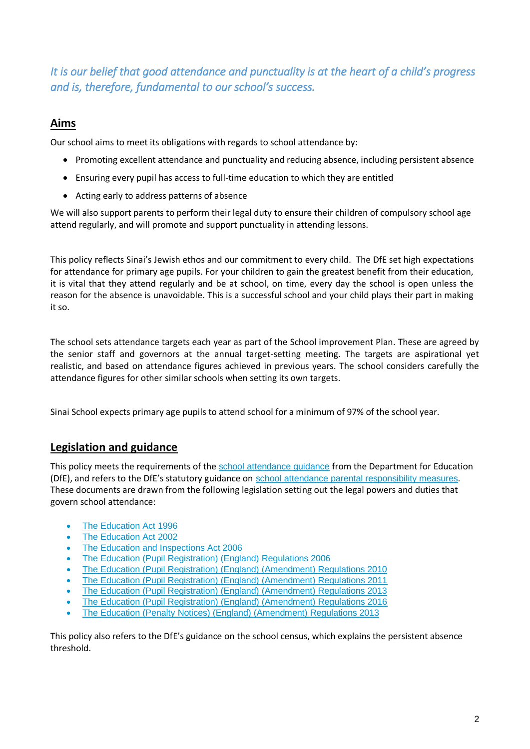*It is our belief that good attendance and punctuality is at the heart of a child's progress and is, therefore, fundamental to our school's success.* 

# **Aims**

Our school aims to meet its obligations with regards to school attendance by:

- Promoting excellent attendance and punctuality and reducing absence, including persistent absence
- Ensuring every pupil has access to full-time education to which they are entitled
- Acting early to address patterns of absence

We will also support parents to perform their legal duty to ensure their children of compulsory school age attend regularly, and will promote and support punctuality in attending lessons.

This policy reflects Sinai's Jewish ethos and our commitment to every child. The DfE set high expectations for attendance for primary age pupils. For your children to gain the greatest benefit from their education, it is vital that they attend regularly and be at school, on time, every day the school is open unless the reason for the absence is unavoidable. This is a successful school and your child plays their part in making it so.

The school sets attendance targets each year as part of the School improvement Plan. These are agreed by the senior staff and governors at the annual target-setting meeting. The targets are aspirational yet realistic, and based on attendance figures achieved in previous years. The school considers carefully the attendance figures for other similar schools when setting its own targets.

Sinai School expects primary age pupils to attend school for a minimum of 97% of the school year.

# **Legislation and guidance**

This policy meets the requirements of the school attendance quidance from the Department for Education (DfE), and refers to the DfE's statutory guidance on [school attendance parental responsibility measures.](https://www.gov.uk/government/publications/parental-responsibility-measures-for-behaviour-and-attendance) These documents are drawn from the following legislation setting out the legal powers and duties that govern school attendance:

- [The Education Act 1996](https://www.legislation.gov.uk/ukpga/1996/56/part/VI/chapter/II)
- [The Education Act 2002](http://www.legislation.gov.uk/ukpga/2002/32/part/3/chapter/3)
- [The Education and Inspections Act 2006](http://www.legislation.gov.uk/ukpga/2006/40/part/7/chapter/2/crossheading/school-attendance)
- [The Education \(Pupil Registration\) \(England\) Regulations 2006](http://www.legislation.gov.uk/uksi/2006/1751/contents/made)
- [The Education \(Pupil Registration\) \(England\) \(Amendment\) Regulations 2010](http://www.centralbedfordshire.gov.uk/Images/amendment-regulation-2010_tcm3-8642.pdf)
- [The Education \(Pupil Registration\) \(England\) \(Amendment\) Regulations 2011](http://www.legislation.gov.uk/uksi/2011/1625/made)
- [The Education \(Pupil Registration\) \(England\) \(Amendment\) Regulations 2013](http://www.legislation.gov.uk/uksi/2013/756/made)
- [The Education \(Pupil Registration\) \(England\) \(Amendment\) Regulations 2016](http://legislation.data.gov.uk/uksi/2016/792/made/data.html)
- [The Education \(Penalty Notices\) \(England\) \(Amendment\) Regulations 2013](http://www.legislation.gov.uk/uksi/2013/756/pdfs/uksiem_20130756_en.pdf)

This policy also refers to the DfE's guidance on the [school census,](https://www.gov.uk/government/publications/school-census-2017-to-2018-guide-for-schools-and-las) which explains the persistent absence threshold.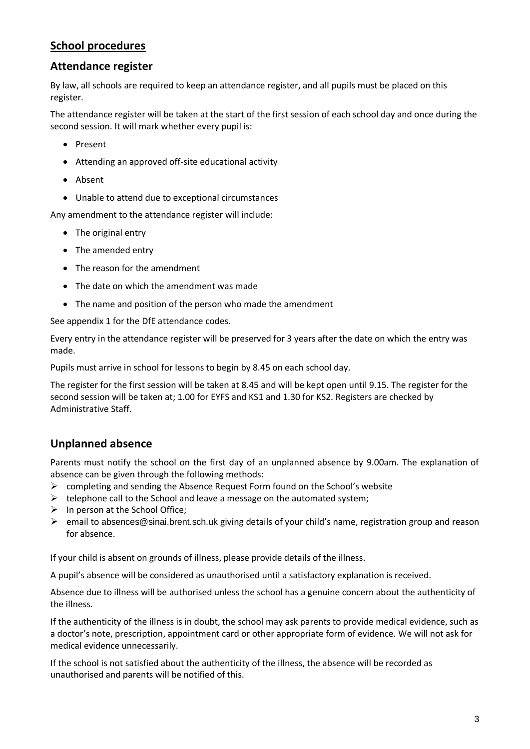# **School procedures**

# **Attendance register**

By law, all schools are required to keep an attendance register, and all pupils must be placed on this register.

The attendance register will be taken at the start of the first session of each school day and once during the second session. It will mark whether every pupil is:

- Present
- Attending an approved off-site educational activity
- Absent
- Unable to attend due to exceptional circumstances

Any amendment to the attendance register will include:

- The original entry
- The amended entry
- The reason for the amendment
- The date on which the amendment was made
- The name and position of the person who made the amendment

See appendix 1 for the DfE attendance codes.

Every entry in the attendance register will be preserved for 3 years after the date on which the entry was made.

Pupils must arrive in school for lessons to begin by 8.45 on each school day.

The register for the first session will be taken at 8.45 and will be kept open until 9.15. The register for the second session will be taken at; 1.00 for EYFS and KS1 and 1.30 for KS2. Registers are checked by Administrative Staff.

# **Unplanned absence**

Parents must notify the school on the first day of an unplanned absence by 9.00am. The explanation of absence can be given through the following methods:

- $\triangleright$  completing and sending the Absence Request Form found on the School's website
- $\triangleright$  telephone call to the School and leave a message on the automated system;
- $\triangleright$  In person at the School Office;
- email to [absences@sinai.brent.sch.uk](mailto:absences@sinai.brent.sch.uk) giving details of your child's name, registration group and reason for absence.

If your child is absent on grounds of illness, please provide details of the illness.

A pupil's absence will be considered as unauthorised until a satisfactory explanation is received.

Absence due to illness will be authorised unless the school has a genuine concern about the authenticity of the illness.

If the authenticity of the illness is in doubt, the school may ask parents to provide medical evidence, such as a doctor's note, prescription, appointment card or other appropriate form of evidence. We will not ask for medical evidence unnecessarily.

If the school is not satisfied about the authenticity of the illness, the absence will be recorded as unauthorised and parents will be notified of this.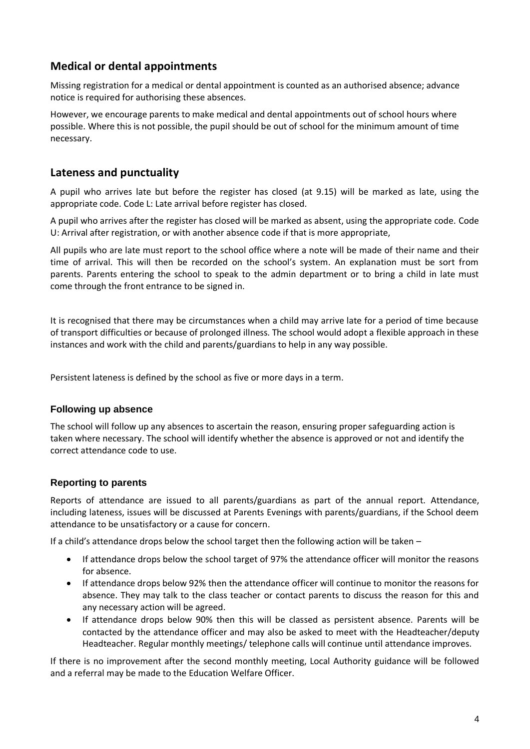# **Medical or dental appointments**

Missing registration for a medical or dental appointment is counted as an authorised absence; advance notice is required for authorising these absences.

However, we encourage parents to make medical and dental appointments out of school hours where possible. Where this is not possible, the pupil should be out of school for the minimum amount of time necessary.

# **Lateness and punctuality**

A pupil who arrives late but before the register has closed (at 9.15) will be marked as late, using the appropriate code. Code L: Late arrival before register has closed.

A pupil who arrives after the register has closed will be marked as absent, using the appropriate code. Code U: Arrival after registration, or with another absence code if that is more appropriate,

All pupils who are late must report to the school office where a note will be made of their name and their time of arrival. This will then be recorded on the school's system. An explanation must be sort from parents. Parents entering the school to speak to the admin department or to bring a child in late must come through the front entrance to be signed in.

It is recognised that there may be circumstances when a child may arrive late for a period of time because of transport difficulties or because of prolonged illness. The school would adopt a flexible approach in these instances and work with the child and parents/guardians to help in any way possible.

Persistent lateness is defined by the school as five or more days in a term.

#### **Following up absence**

The school will follow up any absences to ascertain the reason, ensuring proper safeguarding action is taken where necessary. The school will identify whether the absence is approved or not and identify the correct attendance code to use.

# **Reporting to parents**

Reports of attendance are issued to all parents/guardians as part of the annual report. Attendance, including lateness, issues will be discussed at Parents Evenings with parents/guardians, if the School deem attendance to be unsatisfactory or a cause for concern.

If a child's attendance drops below the school target then the following action will be taken –

- If attendance drops below the school target of 97% the attendance officer will monitor the reasons for absence.
- If attendance drops below 92% then the attendance officer will continue to monitor the reasons for absence. They may talk to the class teacher or contact parents to discuss the reason for this and any necessary action will be agreed.
- If attendance drops below 90% then this will be classed as persistent absence. Parents will be contacted by the attendance officer and may also be asked to meet with the Headteacher/deputy Headteacher. Regular monthly meetings/ telephone calls will continue until attendance improves.

If there is no improvement after the second monthly meeting, Local Authority guidance will be followed and a referral may be made to the Education Welfare Officer.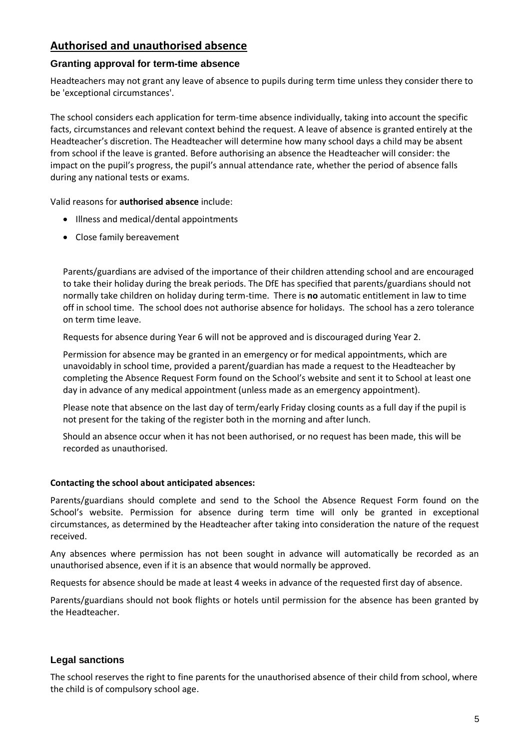# **Authorised and unauthorised absence**

#### **Granting approval for term-time absence**

Headteachers may not grant any leave of absence to pupils during term time unless they consider there to be 'exceptional circumstances'.

The school considers each application for term-time absence individually, taking into account the specific facts, circumstances and relevant context behind the request. A leave of absence is granted entirely at the Headteacher's discretion. The Headteacher will determine how many school days a child may be absent from school if the leave is granted. Before authorising an absence the Headteacher will consider: the impact on the pupil's progress, the pupil's annual attendance rate, whether the period of absence falls during any national tests or exams.

Valid reasons for **authorised absence** include:

- Illness and medical/dental appointments
- Close family bereavement

Parents/guardians are advised of the importance of their children attending school and are encouraged to take their holiday during the break periods. The DfE has specified that parents/guardians should not normally take children on holiday during term-time. There is **no** automatic entitlement in law to time off in school time. The school does not authorise absence for holidays. The school has a zero tolerance on term time leave.

Requests for absence during Year 6 will not be approved and is discouraged during Year 2.

Permission for absence may be granted in an emergency or for medical appointments, which are unavoidably in school time, provided a parent/guardian has made a request to the Headteacher by completing the Absence Request Form found on the School's website and sent it to School at least one day in advance of any medical appointment (unless made as an emergency appointment).

Please note that absence on the last day of term/early Friday closing counts as a full day if the pupil is not present for the taking of the register both in the morning and after lunch.

Should an absence occur when it has not been authorised, or no request has been made, this will be recorded as unauthorised.

#### **Contacting the school about anticipated absences:**

Parents/guardians should complete and send to the School the Absence Request Form found on the School's website. Permission for absence during term time will only be granted in exceptional circumstances, as determined by the Headteacher after taking into consideration the nature of the request received.

Any absences where permission has not been sought in advance will automatically be recorded as an unauthorised absence, even if it is an absence that would normally be approved.

Requests for absence should be made at least 4 weeks in advance of the requested first day of absence.

Parents/guardians should not book flights or hotels until permission for the absence has been granted by the Headteacher.

#### **Legal sanctions**

The school reserves the right to fine parents for the unauthorised absence of their child from school, where the child is of compulsory school age.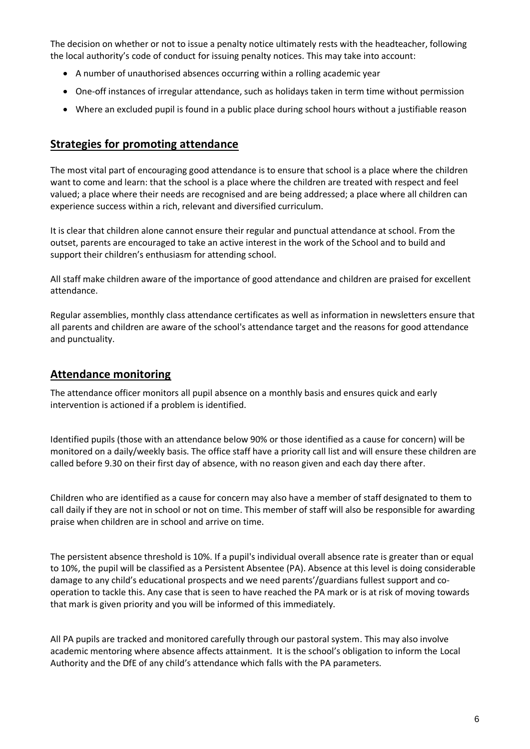The decision on whether or not to issue a penalty notice ultimately rests with the headteacher, following the local authority's code of conduct for issuing penalty notices. This may take into account:

- A number of unauthorised absences occurring within a rolling academic year
- One-off instances of irregular attendance, such as holidays taken in term time without permission
- Where an excluded pupil is found in a public place during school hours without a justifiable reason

# **Strategies for promoting attendance**

The most vital part of encouraging good attendance is to ensure that school is a place where the children want to come and learn: that the school is a place where the children are treated with respect and feel valued; a place where their needs are recognised and are being addressed; a place where all children can experience success within a rich, relevant and diversified curriculum.

It is clear that children alone cannot ensure their regular and punctual attendance at school. From the outset, parents are encouraged to take an active interest in the work of the School and to build and support their children's enthusiasm for attending school.

All staff make children aware of the importance of good attendance and children are praised for excellent attendance.

Regular assemblies, monthly class attendance certificates as well as information in newsletters ensure that all parents and children are aware of the school's attendance target and the reasons for good attendance and punctuality.

### **Attendance monitoring**

The attendance officer monitors all pupil absence on a monthly basis and ensures quick and early intervention is actioned if a problem is identified.

Identified pupils (those with an attendance below 90% or those identified as a cause for concern) will be monitored on a daily/weekly basis. The office staff have a priority call list and will ensure these children are called before 9.30 on their first day of absence, with no reason given and each day there after.

Children who are identified as a cause for concern may also have a member of staff designated to them to call daily if they are not in school or not on time. This member of staff will also be responsible for awarding praise when children are in school and arrive on time.

The persistent absence threshold is 10%. If a pupil's individual overall absence rate is greater than or equal to 10%, the pupil will be classified as a Persistent Absentee (PA). Absence at this level is doing considerable damage to any child's educational prospects and we need parents'/guardians fullest support and cooperation to tackle this. Any case that is seen to have reached the PA mark or is at risk of moving towards that mark is given priority and you will be informed of this immediately.

All PA pupils are tracked and monitored carefully through our pastoral system. This may also involve academic mentoring where absence affects attainment. It is the school's obligation to inform the Local Authority and the DfE of any child's attendance which falls with the PA parameters.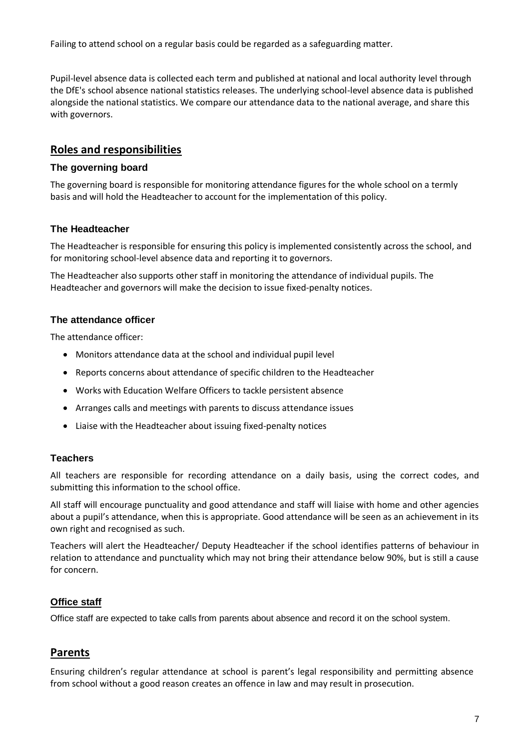Failing to attend school on a regular basis could be regarded as a safeguarding matter.

Pupil-level absence data is collected each term and published at national and local authority level through the DfE's school absence national statistics releases. The underlying school-level absence data is published alongside the national statistics. We compare our attendance data to the national average, and share this with governors.

# **Roles and responsibilities**

#### **The governing board**

The governing board is responsible for monitoring attendance figures for the whole school on a termly basis and will hold the Headteacher to account for the implementation of this policy.

#### **The Headteacher**

The Headteacher is responsible for ensuring this policy is implemented consistently across the school, and for monitoring school-level absence data and reporting it to governors.

The Headteacher also supports other staff in monitoring the attendance of individual pupils. The Headteacher and governors will make the decision to issue fixed-penalty notices.

#### **The attendance officer**

The attendance officer:

- Monitors attendance data at the school and individual pupil level
- Reports concerns about attendance of specific children to the Headteacher
- Works with Education Welfare Officers to tackle persistent absence
- Arranges calls and meetings with parents to discuss attendance issues
- Liaise with the Headteacher about issuing fixed-penalty notices

#### **Teachers**

All teachers are responsible for recording attendance on a daily basis, using the correct codes, and submitting this information to the school office.

All staff will encourage punctuality and good attendance and staff will liaise with home and other agencies about a pupil's attendance, when this is appropriate. Good attendance will be seen as an achievement in its own right and recognised as such.

Teachers will alert the Headteacher/ Deputy Headteacher if the school identifies patterns of behaviour in relation to attendance and punctuality which may not bring their attendance below 90%, but is still a cause for concern.

#### **Office staff**

Office staff are expected to take calls from parents about absence and record it on the school system.

# **Parents**

Ensuring children's regular attendance at school is parent's legal responsibility and permitting absence from school without a good reason creates an offence in law and may result in prosecution.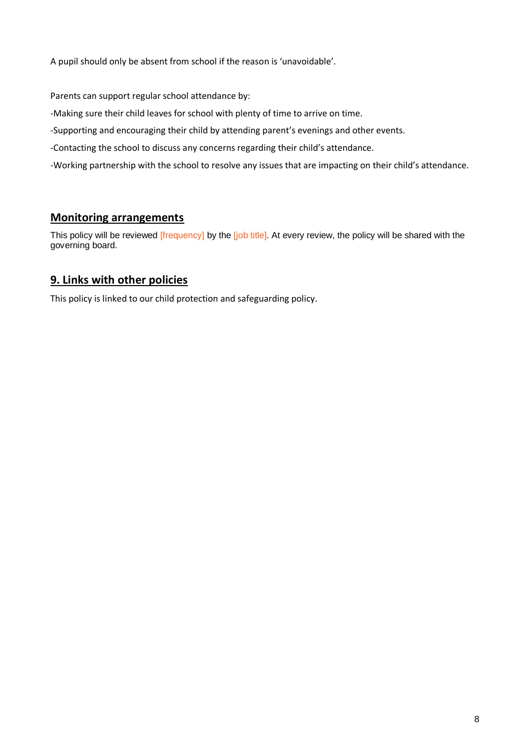A pupil should only be absent from school if the reason is 'unavoidable'.

Parents can support regular school attendance by:

-Making sure their child leaves for school with plenty of time to arrive on time.

-Supporting and encouraging their child by attending parent's evenings and other events.

-Contacting the school to discuss any concerns regarding their child's attendance.

-Working partnership with the school to resolve any issues that are impacting on their child's attendance.

# **Monitoring arrangements**

This policy will be reviewed [frequency] by the [job title]. At every review, the policy will be shared with the governing board.

# **9. Links with other policies**

This policy is linked to our child protection and safeguarding policy.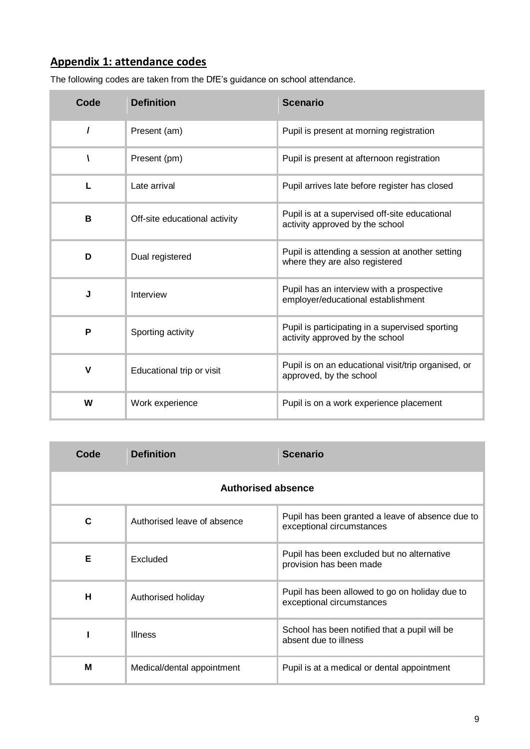# **Appendix 1: attendance codes**

| Code | <b>Definition</b>             | <b>Scenario</b>                                                                    |
|------|-------------------------------|------------------------------------------------------------------------------------|
| I    | Present (am)                  | Pupil is present at morning registration                                           |
| N    | Present (pm)                  | Pupil is present at afternoon registration                                         |
| L    | Late arrival                  | Pupil arrives late before register has closed                                      |
| В    | Off-site educational activity | Pupil is at a supervised off-site educational<br>activity approved by the school   |
| D    | Dual registered               | Pupil is attending a session at another setting<br>where they are also registered  |
| J    | Interview                     | Pupil has an interview with a prospective<br>employer/educational establishment    |
| P    | Sporting activity             | Pupil is participating in a supervised sporting<br>activity approved by the school |
| V    | Educational trip or visit     | Pupil is on an educational visit/trip organised, or<br>approved, by the school     |
| W    | Work experience               | Pupil is on a work experience placement                                            |

The following codes are taken from the DfE's guidance on school attendance.

| Code                      | <b>Definition</b>           | <b>Scenario</b>                                                               |  |
|---------------------------|-----------------------------|-------------------------------------------------------------------------------|--|
| <b>Authorised absence</b> |                             |                                                                               |  |
| C                         | Authorised leave of absence | Pupil has been granted a leave of absence due to<br>exceptional circumstances |  |
| Е                         | Excluded                    | Pupil has been excluded but no alternative<br>provision has been made         |  |
| н                         | Authorised holiday          | Pupil has been allowed to go on holiday due to<br>exceptional circumstances   |  |
|                           | <b>Illness</b>              | School has been notified that a pupil will be<br>absent due to illness        |  |
| M                         | Medical/dental appointment  | Pupil is at a medical or dental appointment                                   |  |